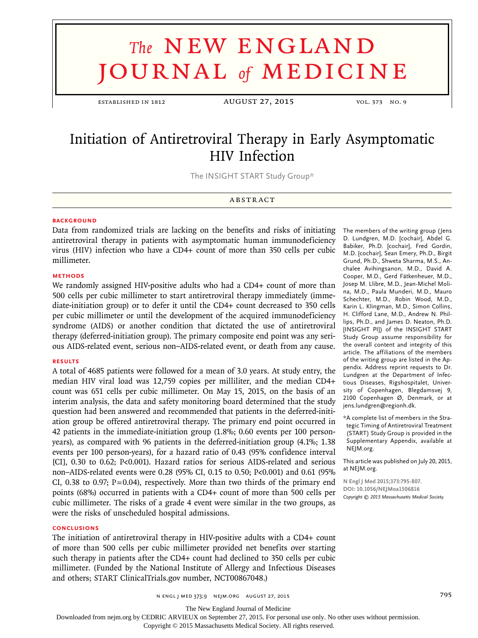# **The NEW ENGLAND** journal *of* medicine

established in 1812 August 27, 2015 vol. 373 no. 9

## Initiation of Antiretroviral Therapy in Early Asymptomatic HIV Infection

The INSIGHT START Study Group\*

#### **ABSTRACT**

#### **BACKGROUND**

Data from randomized trials are lacking on the benefits and risks of initiating antiretroviral therapy in patients with asymptomatic human immunodeficiency virus (HIV) infection who have a CD4+ count of more than 350 cells per cubic millimeter.

#### **METHODS**

We randomly assigned HIV-positive adults who had a CD4+ count of more than 500 cells per cubic millimeter to start antiretroviral therapy immediately (immediate-initiation group) or to defer it until the CD4+ count decreased to 350 cells per cubic millimeter or until the development of the acquired immunodeficiency syndrome (AIDS) or another condition that dictated the use of antiretroviral therapy (deferred-initiation group). The primary composite end point was any serious AIDS-related event, serious non–AIDS-related event, or death from any cause.

#### **RESULTS**

A total of 4685 patients were followed for a mean of 3.0 years. At study entry, the median HIV viral load was 12,759 copies per milliliter, and the median CD4+ count was 651 cells per cubic millimeter. On May 15, 2015, on the basis of an interim analysis, the data and safety monitoring board determined that the study question had been answered and recommended that patients in the deferred-initiation group be offered antiretroviral therapy. The primary end point occurred in 42 patients in the immediate-initiation group (1.8%; 0.60 events per 100 personyears), as compared with 96 patients in the deferred-initiation group (4.1%; 1.38 events per 100 person-years), for a hazard ratio of 0.43 (95% confidence interval [CI], 0.30 to 0.62; P<0.001). Hazard ratios for serious AIDS-related and serious non–AIDS-related events were 0.28 (95% CI, 0.15 to 0.50; P<0.001) and 0.61 (95% CI, 0.38 to 0.97;  $P=0.04$ ), respectively. More than two thirds of the primary end points (68%) occurred in patients with a CD4+ count of more than 500 cells per cubic millimeter. The risks of a grade 4 event were similar in the two groups, as were the risks of unscheduled hospital admissions.

#### **CONCLUSIONS**

The initiation of antiretroviral therapy in HIV-positive adults with a CD4+ count of more than 500 cells per cubic millimeter provided net benefits over starting such therapy in patients after the CD4+ count had declined to 350 cells per cubic millimeter. (Funded by the National Institute of Allergy and Infectious Diseases and others; START ClinicalTrials.gov number, NCT00867048.)

The members of the writing group (Jens D. Lundgren, M.D. [cochair], Abdel G. Babiker, Ph.D. [cochair], Fred Gordin, M.D. [cochair], Sean Emery, Ph.D., Birgit Grund, Ph.D., Shweta Sharma, M.S., Anchalee Avihingsanon, M.D., David A. Cooper, M.D., Gerd Fätkenheuer, M.D., Josep M. Llibre, M.D., Jean-Michel Molina, M.D., Paula Munderi, M.D., Mauro Schechter, M.D., Robin Wood, M.D., Karin L. Klingman, M.D., Simon Collins, H. Clifford Lane, M.D., Andrew N. Phillips, Ph.D., and James D. Neaton, Ph.D. [INSIGHT PI]) of the INSIGHT START Study Group assume responsibility for the overall content and integrity of this article. The affiliations of the members of the writing group are listed in the Appendix. Address reprint requests to Dr. Lundgren at the Department of Infectious Diseases, Rigshospitalet, University of Copenhagen, Blegdamsvej 9, 2100 Copenhagen Ø, Denmark, or at jens.lundgren@regionh.dk.

\*A complete list of members in the Strategic Timing of Antiretroviral Treatment (START) Study Group is provided in the Supplementary Appendix, available at NEJM.org.

This article was published on July 20, 2015, at NEJM.org.

**N Engl J Med 2015;373:795-807. DOI: 10.1056/NEJMoa1506816** *Copyright © 2015 Massachusetts Medical Society.*

n engl j med 373;9 nejm.org August 27, 2015 795

Downloaded from nejm.org by CEDRIC ARVIEUX on September 27, 2015. For personal use only. No other uses without permission.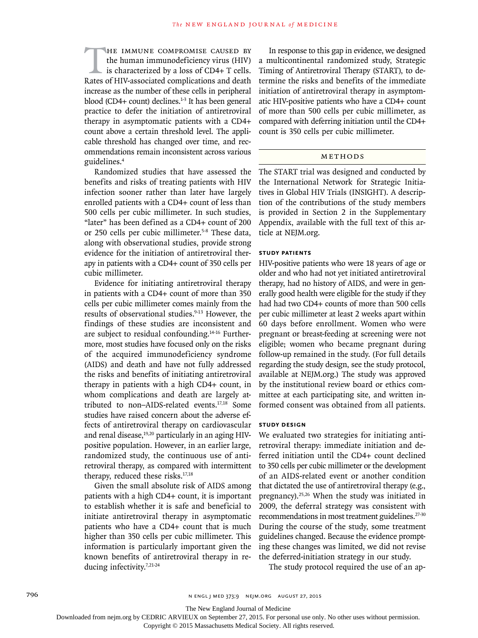HE IMMUNE COMPROMISE CAUSED BY the human immunodeficiency virus (HIV) is characterized by a loss of CD4+ T cells. Rates of HIV-associated complications and death increase as the number of these cells in peripheral blood (CD4+ count) declines. $1-3$  It has been general practice to defer the initiation of antiretroviral therapy in asymptomatic patients with a CD4+ count above a certain threshold level. The applicable threshold has changed over time, and recommendations remain inconsistent across various guidelines.4

Randomized studies that have assessed the benefits and risks of treating patients with HIV infection sooner rather than later have largely enrolled patients with a CD4+ count of less than 500 cells per cubic millimeter. In such studies, "later" has been defined as a CD4+ count of 200 or 250 cells per cubic millimeter.5-8 These data, along with observational studies, provide strong evidence for the initiation of antiretroviral therapy in patients with a CD4+ count of 350 cells per cubic millimeter.

Evidence for initiating antiretroviral therapy in patients with a CD4+ count of more than 350 cells per cubic millimeter comes mainly from the results of observational studies.<sup>9-13</sup> However, the findings of these studies are inconsistent and are subject to residual confounding.<sup>14-16</sup> Furthermore, most studies have focused only on the risks of the acquired immunodeficiency syndrome (AIDS) and death and have not fully addressed the risks and benefits of initiating antiretroviral therapy in patients with a high CD4+ count, in whom complications and death are largely attributed to non–AIDS-related events.17,18 Some studies have raised concern about the adverse effects of antiretroviral therapy on cardiovascular and renal disease, $19,20$  particularly in an aging HIVpositive population. However, in an earlier large, randomized study, the continuous use of antiretroviral therapy, as compared with intermittent therapy, reduced these risks.17,18

Given the small absolute risk of AIDS among patients with a high CD4+ count, it is important to establish whether it is safe and beneficial to initiate antiretroviral therapy in asymptomatic patients who have a CD4+ count that is much higher than 350 cells per cubic millimeter. This information is particularly important given the known benefits of antiretroviral therapy in reducing infectivity.<sup>7,21-24</sup>

In response to this gap in evidence, we designed a multicontinental randomized study, Strategic Timing of Antiretroviral Therapy (START), to determine the risks and benefits of the immediate initiation of antiretroviral therapy in asymptomatic HIV-positive patients who have a CD4+ count of more than 500 cells per cubic millimeter, as compared with deferring initiation until the CD4+ count is 350 cells per cubic millimeter.

#### Methods

The START trial was designed and conducted by the International Network for Strategic Initiatives in Global HIV Trials (INSIGHT). A description of the contributions of the study members is provided in Section 2 in the Supplementary Appendix, available with the full text of this article at NEJM.org.

#### **Study Patients**

HIV-positive patients who were 18 years of age or older and who had not yet initiated antiretroviral therapy, had no history of AIDS, and were in generally good health were eligible for the study if they had had two CD4+ counts of more than 500 cells per cubic millimeter at least 2 weeks apart within 60 days before enrollment. Women who were pregnant or breast-feeding at screening were not eligible; women who became pregnant during follow-up remained in the study. (For full details regarding the study design, see the study protocol, available at NEJM.org.) The study was approved by the institutional review board or ethics committee at each participating site, and written informed consent was obtained from all patients.

#### **Study Design**

We evaluated two strategies for initiating antiretroviral therapy: immediate initiation and deferred initiation until the CD4+ count declined to 350 cells per cubic millimeter or the development of an AIDS-related event or another condition that dictated the use of antiretroviral therapy (e.g., pregnancy).25,26 When the study was initiated in 2009, the deferral strategy was consistent with recommendations in most treatment guidelines.27-30 During the course of the study, some treatment guidelines changed. Because the evidence prompting these changes was limited, we did not revise the deferred-initiation strategy in our study.

The study protocol required the use of an ap-

The New England Journal of Medicine

Downloaded from nejm.org by CEDRIC ARVIEUX on September 27, 2015. For personal use only. No other uses without permission.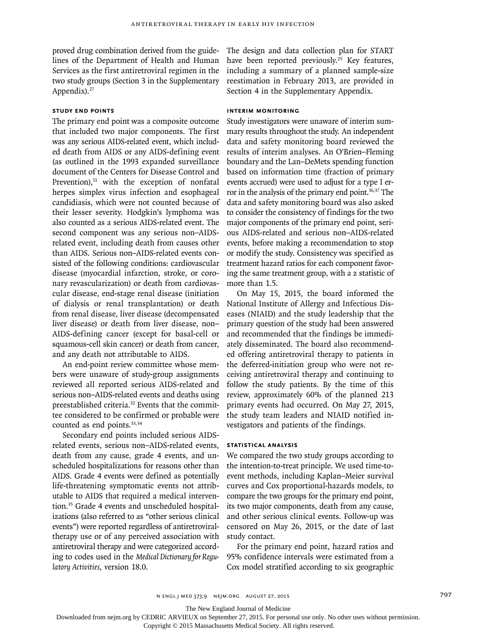proved drug combination derived from the guidelines of the Department of Health and Human Services as the first antiretroviral regimen in the two study groups (Section 3 in the Supplementary Appendix).<sup>27</sup>

### **Study End Points**

The primary end point was a composite outcome that included two major components. The first was any serious AIDS-related event, which included death from AIDS or any AIDS-defining event (as outlined in the 1993 expanded surveillance document of the Centers for Disease Control and Prevention), $31$  with the exception of nonfatal herpes simplex virus infection and esophageal candidiasis, which were not counted because of their lesser severity. Hodgkin's lymphoma was also counted as a serious AIDS-related event. The second component was any serious non–AIDSrelated event, including death from causes other than AIDS. Serious non–AIDS-related events consisted of the following conditions: cardiovascular disease (myocardial infarction, stroke, or coronary revascularization) or death from cardiovascular disease, end-stage renal disease (initiation of dialysis or renal transplantation) or death from renal disease, liver disease (decompensated liver disease) or death from liver disease, non– AIDS-defining cancer (except for basal-cell or squamous-cell skin cancer) or death from cancer, and any death not attributable to AIDS.

An end-point review committee whose members were unaware of study-group assignments reviewed all reported serious AIDS-related and serious non–AIDS-related events and deaths using preestablished criteria.<sup>32</sup> Events that the committee considered to be confirmed or probable were counted as end points.<sup>33,34</sup>

Secondary end points included serious AIDSrelated events, serious non–AIDS-related events, death from any cause, grade 4 events, and unscheduled hospitalizations for reasons other than AIDS. Grade 4 events were defined as potentially life-threatening symptomatic events not attributable to AIDS that required a medical intervention.35 Grade 4 events and unscheduled hospitalizations (also referred to as "other serious clinical events") were reported regardless of antiretroviraltherapy use or of any perceived association with antiretroviral therapy and were categorized according to codes used in the *Medical Dictionary for Regulatory Activities*, version 18.0.

The design and data collection plan for START have been reported previously.<sup>25</sup> Key features, including a summary of a planned sample-size reestimation in February 2013, are provided in Section 4 in the Supplementary Appendix.

#### **Interim Monitoring**

Study investigators were unaware of interim summary results throughout the study. An independent data and safety monitoring board reviewed the results of interim analyses. An O'Brien–Fleming boundary and the Lan–DeMets spending function based on information time (fraction of primary events accrued) were used to adjust for a type I error in the analysis of the primary end point.<sup>36,37</sup> The data and safety monitoring board was also asked to consider the consistency of findings for the two major components of the primary end point, serious AIDS-related and serious non–AIDS-related events, before making a recommendation to stop or modify the study. Consistency was specified as treatment hazard ratios for each component favoring the same treatment group, with a z statistic of more than 1.5.

On May 15, 2015, the board informed the National Institute of Allergy and Infectious Diseases (NIAID) and the study leadership that the primary question of the study had been answered and recommended that the findings be immediately disseminated. The board also recommended offering antiretroviral therapy to patients in the deferred-initiation group who were not receiving antiretroviral therapy and continuing to follow the study patients. By the time of this review, approximately 60% of the planned 213 primary events had occurred. On May 27, 2015, the study team leaders and NIAID notified investigators and patients of the findings.

#### **Statistical Analysis**

We compared the two study groups according to the intention-to-treat principle. We used time-toevent methods, including Kaplan–Meier survival curves and Cox proportional-hazards models, to compare the two groups for the primary end point, its two major components, death from any cause, and other serious clinical events. Follow-up was censored on May 26, 2015, or the date of last study contact.

For the primary end point, hazard ratios and 95% confidence intervals were estimated from a Cox model stratified according to six geographic

The New England Journal of Medicine

Downloaded from nejm.org by CEDRIC ARVIEUX on September 27, 2015. For personal use only. No other uses without permission.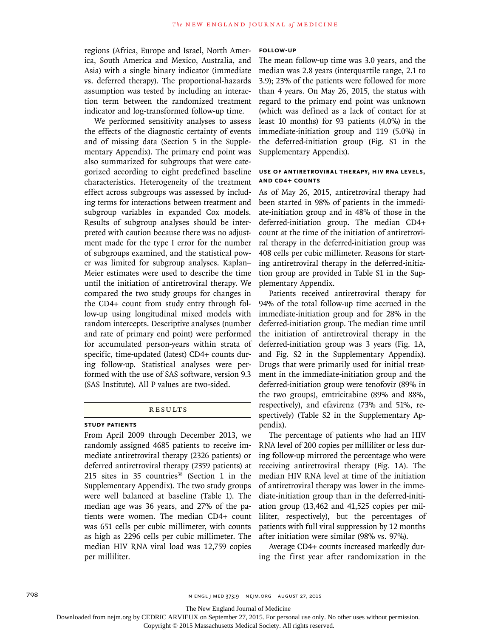regions (Africa, Europe and Israel, North America, South America and Mexico, Australia, and Asia) with a single binary indicator (immediate vs. deferred therapy). The proportional-hazards assumption was tested by including an interaction term between the randomized treatment indicator and log-transformed follow-up time.

We performed sensitivity analyses to assess the effects of the diagnostic certainty of events and of missing data (Section 5 in the Supplementary Appendix). The primary end point was also summarized for subgroups that were categorized according to eight predefined baseline characteristics. Heterogeneity of the treatment effect across subgroups was assessed by including terms for interactions between treatment and subgroup variables in expanded Cox models. Results of subgroup analyses should be interpreted with caution because there was no adjustment made for the type I error for the number of subgroups examined, and the statistical power was limited for subgroup analyses. Kaplan– Meier estimates were used to describe the time until the initiation of antiretroviral therapy. We compared the two study groups for changes in the CD4+ count from study entry through follow-up using longitudinal mixed models with random intercepts. Descriptive analyses (number and rate of primary end point) were performed for accumulated person-years within strata of specific, time-updated (latest) CD4+ counts during follow-up. Statistical analyses were performed with the use of SAS software, version 9.3 (SAS Institute). All P values are two-sided.

#### **RESULTS**

#### **Study Patients**

From April 2009 through December 2013, we randomly assigned 4685 patients to receive immediate antiretroviral therapy (2326 patients) or deferred antiretroviral therapy (2359 patients) at 215 sites in 35 countries<sup>38</sup> (Section 1 in the Supplementary Appendix). The two study groups were well balanced at baseline (Table 1). The median age was 36 years, and 27% of the patients were women. The median CD4+ count was 651 cells per cubic millimeter, with counts as high as 2296 cells per cubic millimeter. The median HIV RNA viral load was 12,759 copies per milliliter.

#### **Follow-up**

The mean follow-up time was 3.0 years, and the median was 2.8 years (interquartile range, 2.1 to 3.9); 23% of the patients were followed for more than 4 years. On May 26, 2015, the status with regard to the primary end point was unknown (which was defined as a lack of contact for at least 10 months) for 93 patients (4.0%) in the immediate-initiation group and 119 (5.0%) in the deferred-initiation group (Fig. S1 in the Supplementary Appendix).

#### **Use of Antiretroviral Therapy, HIV RNA Levels, and CD4+ Counts**

As of May 26, 2015, antiretroviral therapy had been started in 98% of patients in the immediate-initiation group and in 48% of those in the deferred-initiation group. The median CD4+ count at the time of the initiation of antiretroviral therapy in the deferred-initiation group was 408 cells per cubic millimeter. Reasons for starting antiretroviral therapy in the deferred-initiation group are provided in Table S1 in the Supplementary Appendix.

Patients received antiretroviral therapy for 94% of the total follow-up time accrued in the immediate-initiation group and for 28% in the deferred-initiation group. The median time until the initiation of antiretroviral therapy in the deferred-initiation group was 3 years (Fig. 1A, and Fig. S2 in the Supplementary Appendix). Drugs that were primarily used for initial treatment in the immediate-initiation group and the deferred-initiation group were tenofovir (89% in the two groups), emtricitabine (89% and 88%, respectively), and efavirenz (73% and 51%, respectively) (Table S2 in the Supplementary Appendix).

The percentage of patients who had an HIV RNA level of 200 copies per milliliter or less during follow-up mirrored the percentage who were receiving antiretroviral therapy (Fig. 1A). The median HIV RNA level at time of the initiation of antiretroviral therapy was lower in the immediate-initiation group than in the deferred-initiation group (13,462 and 41,525 copies per milliliter, respectively), but the percentages of patients with full viral suppression by 12 months after initiation were similar (98% vs. 97%).

Average CD4+ counts increased markedly during the first year after randomization in the

The New England Journal of Medicine

Downloaded from nejm.org by CEDRIC ARVIEUX on September 27, 2015. For personal use only. No other uses without permission.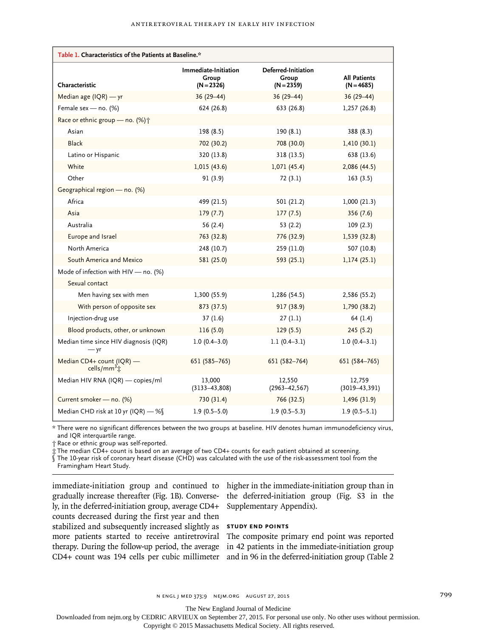| Table 1. Characteristics of the Patients at Baseline.*   |                                               |                                              |                                     |  |  |  |  |
|----------------------------------------------------------|-----------------------------------------------|----------------------------------------------|-------------------------------------|--|--|--|--|
| Characteristic                                           | Immediate-Initiation<br>Group<br>$(N = 2326)$ | Deferred-Initiation<br>Group<br>$(N = 2359)$ | <b>All Patients</b><br>$(N = 4685)$ |  |  |  |  |
| Median age $(IQR)$ - yr                                  | $36(29-44)$                                   | $36(29-44)$                                  | $36(29 - 44)$                       |  |  |  |  |
| Female sex - no. (%)                                     | 624 (26.8)                                    | 633 (26.8)                                   | 1,257 (26.8)                        |  |  |  |  |
| Race or ethnic group - no. (%) +                         |                                               |                                              |                                     |  |  |  |  |
| Asian                                                    | 198 (8.5)                                     | 190(8.1)                                     | 388 (8.3)                           |  |  |  |  |
| <b>Black</b>                                             | 702 (30.2)                                    | 708 (30.0)                                   | 1,410(30.1)                         |  |  |  |  |
| Latino or Hispanic                                       | 320 (13.8)                                    | 318 (13.5)                                   | 638 (13.6)                          |  |  |  |  |
| White                                                    | 1,015(43.6)                                   | 1,071(45.4)                                  | 2,086 (44.5)                        |  |  |  |  |
| Other                                                    | 91(3.9)                                       | 72(3.1)                                      | 163(3.5)                            |  |  |  |  |
| Geographical region - no. (%)                            |                                               |                                              |                                     |  |  |  |  |
| Africa                                                   | 499 (21.5)                                    | 501 (21.2)                                   | 1,000(21.3)                         |  |  |  |  |
| Asia                                                     | 179(7.7)                                      | 177(7.5)                                     | 356 (7.6)                           |  |  |  |  |
| Australia                                                | 56(2.4)                                       | 53(2.2)                                      | 109(2.3)                            |  |  |  |  |
| Europe and Israel                                        | 763 (32.8)                                    | 776 (32.9)                                   | 1,539 (32.8)                        |  |  |  |  |
| North America                                            | 248 (10.7)                                    | 259 (11.0)                                   | 507 (10.8)                          |  |  |  |  |
| South America and Mexico                                 | 581 (25.0)                                    | 593 (25.1)                                   | 1,174(25.1)                         |  |  |  |  |
| Mode of infection with HIV - no. (%)                     |                                               |                                              |                                     |  |  |  |  |
| Sexual contact                                           |                                               |                                              |                                     |  |  |  |  |
| Men having sex with men                                  | 1,300 (55.9)                                  | 1,286(54.5)                                  | 2,586 (55.2)                        |  |  |  |  |
| With person of opposite sex                              | 873 (37.5)                                    | 917 (38.9)                                   | 1,790 (38.2)                        |  |  |  |  |
| Injection-drug use                                       | 37(1.6)                                       | 27(1.1)                                      | 64 (1.4)                            |  |  |  |  |
| Blood products, other, or unknown                        | 116(5.0)                                      | 129(5.5)                                     | 245(5.2)                            |  |  |  |  |
| Median time since HIV diagnosis (IQR)<br>$- yr$          | $1.0(0.4 - 3.0)$                              | $1.1(0.4-3.1)$                               | $1.0(0.4-3.1)$                      |  |  |  |  |
| Median CD4+ count (IQR) -<br>cells/mm <sup>3</sup> $\pm$ | 651 (585-765)                                 | 651 (582-764)                                | 651 (584-765)                       |  |  |  |  |
| Median HIV RNA (IQR) - copies/ml                         | 13,000<br>$(3133 - 43, 808)$                  | 12,550<br>$(2963 - 42, 567)$                 | 12,759<br>$(3019 - 43, 391)$        |  |  |  |  |
| Current smoker - no. (%)                                 | 730 (31.4)                                    | 766 (32.5)                                   | 1,496 (31.9)                        |  |  |  |  |
| Median CHD risk at 10 yr (IQR) - %                       | $1.9(0.5-5.0)$                                | $1.9(0.5-5.3)$                               | $1.9(0.5-5.1)$                      |  |  |  |  |

\* There were no significant differences between the two groups at baseline. HIV denotes human immunodeficiency virus, and IQR interquartile range.

† Race or ethnic group was self-reported.

‡ The median CD4+ count is based on an average of two CD4+ counts for each patient obtained at screening.

§ The 10-year risk of coronary heart disease (CHD) was calculated with the use of the risk-assessment tool from the

Framingham Heart Study.

immediate-initiation group and continued to higher in the immediate-initiation group than in gradually increase thereafter (Fig. 1B). Converse-the deferred-initiation group (Fig. S3 in the ly, in the deferred-initiation group, average CD4+ counts decreased during the first year and then stabilized and subsequently increased slightly as **Study End Points** more patients started to receive antiretroviral The composite primary end point was reported therapy. During the follow-up period, the average in 42 patients in the immediate-initiation group CD4+ count was 194 cells per cubic millimeter and in 96 in the deferred-initiation group (Table 2

Supplementary Appendix).

The New England Journal of Medicine

Downloaded from nejm.org by CEDRIC ARVIEUX on September 27, 2015. For personal use only. No other uses without permission.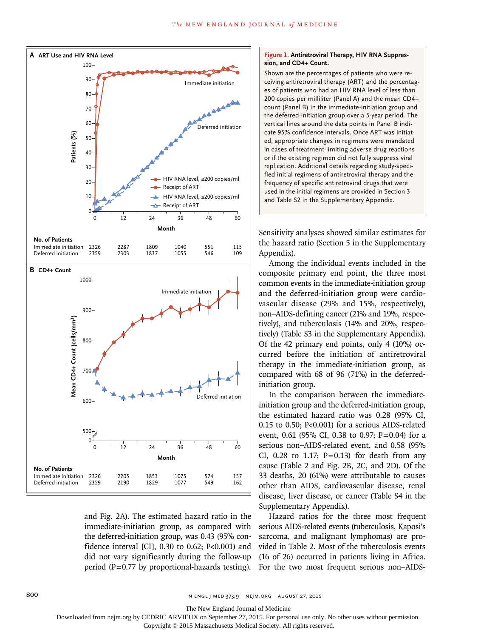

and Fig. 2A). The estimated hazard ratio in the immediate-initiation group, as compared with the deferred-initiation group, was 0.43 (95% confidence interval [CI], 0.30 to 0.62; P<0.001) and did not vary significantly during the follow-up period ( $P=0.77$  by proportional-hazards testing).

#### **Figure 1. Antiretroviral Therapy, HIV RNA Suppression, and CD4+ Count.**

Shown are the percentages of patients who were receiving antiretroviral therapy (ART) and the percentages of patients who had an HIV RNA level of less than 200 copies per milliliter (Panel A) and the mean CD4+ count (Panel B) in the immediate-initiation group and the deferred-initiation group over a 5-year period. The vertical lines around the data points in Panel B indicate 95% confidence intervals. Once ART was initiated, appropriate changes in regimens were mandated in cases of treatment-limiting adverse drug reactions or if the existing regimen did not fully suppress viral replication. Additional details regarding study-specified initial regimens of antiretroviral therapy and the frequency of specific antiretroviral drugs that were used in the initial regimens are provided in Section 3 and Table S2 in the Supplementary Appendix.

Sensitivity analyses showed similar estimates for the hazard ratio (Section 5 in the Supplementary Appendix).

Among the individual events included in the composite primary end point, the three most common events in the immediate-initiation group and the deferred-initiation group were cardiovascular disease (29% and 15%, respectively), non–AIDS-defining cancer (21% and 19%, respectively), and tuberculosis (14% and 20%, respectively) (Table S3 in the Supplementary Appendix). Of the 42 primary end points, only 4 (10%) occurred before the initiation of antiretroviral therapy in the immediate-initiation group, as compared with 68 of 96 (71%) in the deferredinitiation group.

In the comparison between the immediateinitiation group and the deferred-initiation group, the estimated hazard ratio was 0.28 (95% CI, 0.15 to 0.50; P<0.001) for a serious AIDS-related event, 0.61 (95% CI, 0.38 to 0.97; P=0.04) for a serious non–AIDS-related event, and 0.58 (95% CI, 0.28 to 1.17;  $P=0.13$ ) for death from any cause (Table 2 and Fig. 2B, 2C, and 2D). Of the 33 deaths, 20 (61%) were attributable to causes other than AIDS, cardiovascular disease, renal disease, liver disease, or cancer (Table S4 in the Supplementary Appendix).

Hazard ratios for the three most frequent serious AIDS-related events (tuberculosis, Kaposi's sarcoma, and malignant lymphomas) are provided in Table 2. Most of the tuberculosis events (16 of 26) occurred in patients living in Africa. For the two most frequent serious non–AIDS-

The New England Journal of Medicine

Downloaded from nejm.org by CEDRIC ARVIEUX on September 27, 2015. For personal use only. No other uses without permission.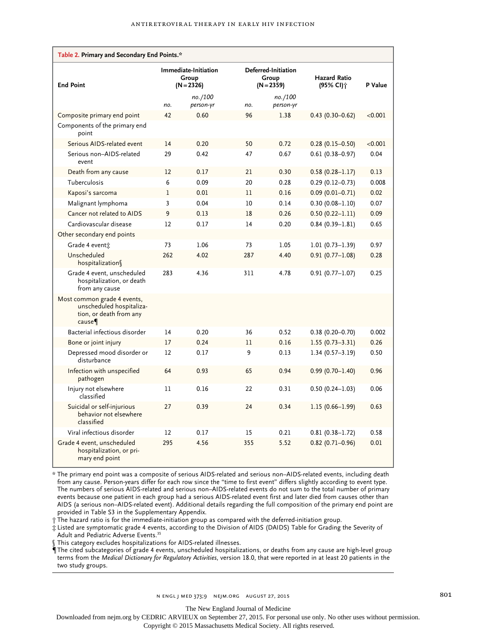| Table 2. Primary and Secondary End Points.*                                                 |              |                                               |     |                                              |                                   |         |  |  |
|---------------------------------------------------------------------------------------------|--------------|-----------------------------------------------|-----|----------------------------------------------|-----------------------------------|---------|--|--|
| <b>End Point</b>                                                                            |              | Immediate-Initiation<br>Group<br>$(N = 2326)$ |     | Deferred-Initiation<br>Group<br>$(N = 2359)$ | <b>Hazard Ratio</b><br>(95% Cl) † | P Value |  |  |
|                                                                                             | no.          | no./100<br>person-yr                          | no. | no./100<br>person-yr                         |                                   |         |  |  |
| Composite primary end point                                                                 | 42           | 0.60                                          | 96  | 1.38                                         | $0.43(0.30-0.62)$                 | < 0.001 |  |  |
| Components of the primary end<br>point                                                      |              |                                               |     |                                              |                                   |         |  |  |
| Serious AIDS-related event                                                                  | 14           | 0.20                                          | 50  | 0.72                                         | $0.28(0.15 - 0.50)$               | < 0.001 |  |  |
| Serious non-AIDS-related<br>event                                                           | 29           | 0.42                                          | 47  | 0.67                                         | $0.61(0.38 - 0.97)$               | 0.04    |  |  |
| Death from any cause                                                                        | 12           | 0.17                                          | 21  | 0.30                                         | $0.58(0.28 - 1.17)$               | 0.13    |  |  |
| Tuberculosis                                                                                | 6            | 0.09                                          | 20  | 0.28                                         | $0.29(0.12 - 0.73)$               | 0.008   |  |  |
| Kaposi's sarcoma                                                                            | $\mathbf{1}$ | 0.01                                          | 11  | 0.16                                         | $0.09(0.01 - 0.71)$               | 0.02    |  |  |
| Malignant lymphoma                                                                          | 3            | 0.04                                          | 10  | 0.14                                         | $0.30(0.08 - 1.10)$               | 0.07    |  |  |
| Cancer not related to AIDS                                                                  | 9            | 0.13                                          | 18  | 0.26                                         | $0.50(0.22 - 1.11)$               | 0.09    |  |  |
| Cardiovascular disease                                                                      | 12           | 0.17                                          | 14  | 0.20                                         | $0.84(0.39 - 1.81)$               | 0.65    |  |  |
| Other secondary end points                                                                  |              |                                               |     |                                              |                                   |         |  |  |
| Grade 4 event:                                                                              | 73           | 1.06                                          | 73  | 1.05                                         | $1.01(0.73 - 1.39)$               | 0.97    |  |  |
| Unscheduled<br>hospitalization                                                              | 262          | 4.02                                          | 287 | 4.40                                         | $0.91(0.77 - 1.08)$               | 0.28    |  |  |
| Grade 4 event, unscheduled<br>hospitalization, or death<br>from any cause                   | 283          | 4.36                                          | 311 | 4.78                                         | $0.91(0.77 - 1.07)$               | 0.25    |  |  |
| Most common grade 4 events,<br>unscheduled hospitaliza-<br>tion, or death from any<br>cause |              |                                               |     |                                              |                                   |         |  |  |
| Bacterial infectious disorder                                                               | 14           | 0.20                                          | 36  | 0.52                                         | $0.38(0.20 - 0.70)$               | 0.002   |  |  |
| Bone or joint injury                                                                        | 17           | 0.24                                          | 11  | 0.16                                         | $1.55(0.73 - 3.31)$               | 0.26    |  |  |
| Depressed mood disorder or<br>disturbance                                                   | 12           | 0.17                                          | 9   | 0.13                                         | $1.34(0.57 - 3.19)$               | 0.50    |  |  |
| Infection with unspecified<br>pathogen                                                      | 64           | 0.93                                          | 65  | 0.94                                         | $0.99(0.70 - 1.40)$               | 0.96    |  |  |
| Injury not elsewhere<br>classified                                                          | 11           | 0.16                                          | 22  | 0.31                                         | $0.50(0.24 - 1.03)$               | 0.06    |  |  |
| Suicidal or self-injurious<br>behavior not elsewhere<br>classified                          | 27           | 0.39                                          | 24  | 0.34                                         | $1.15(0.66 - 1.99)$               | 0.63    |  |  |
| Viral infectious disorder                                                                   | 12           | 0.17                                          | 15  | 0.21                                         | $0.81(0.38 - 1.72)$               | 0.58    |  |  |
| Grade 4 event, unscheduled<br>hospitalization, or pri-<br>mary end point                    | 295          | 4.56                                          | 355 | 5.52                                         | $0.82$ (0.71-0.96)                | 0.01    |  |  |

\* The primary end point was a composite of serious AIDS-related and serious non–AIDS-related events, including death from any cause. Person-years differ for each row since the "time to first event" differs slightly according to event type. The numbers of serious AIDS-related and serious non–AIDS-related events do not sum to the total number of primary events because one patient in each group had a serious AIDS-related event first and later died from causes other than AIDS (a serious non–AIDS-related event). Additional details regarding the full composition of the primary end point are provided in Table S3 in the Supplementary Appendix.

† The hazard ratio is for the immediate-initiation group as compared with the deferred-initiation group.

‡ Listed are symptomatic grade 4 events, according to the Division of AIDS (DAIDS) Table for Grading the Severity of Adult and Pediatric Adverse Events.35

§ This category excludes hospitalizations for AIDS-related illnesses.

¶ The cited subcategories of grade 4 events, unscheduled hospitalizations, or deaths from any cause are high-level group terms from the *Medical Dictionary for Regulatory Activities*, version 18.0, that were reported in at least 20 patients in the two study groups.

The New England Journal of Medicine

Downloaded from nejm.org by CEDRIC ARVIEUX on September 27, 2015. For personal use only. No other uses without permission.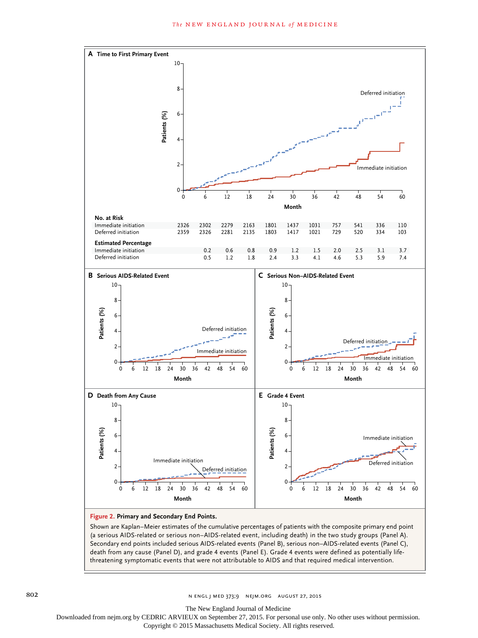

Shown are Kaplan–Meier estimates of the cumulative percentages of patients with the composite primary end point (a serious AIDS-related or serious non–AIDS-related event, including death) in the two study groups (Panel A). Secondary end points included serious AIDS-related events (Panel B), serious non–AIDS-related events (Panel C), death from any cause (Panel D), and grade 4 events (Panel E). Grade 4 events were defined as potentially lifethreatening symptomatic events that were not attributable to AIDS and that required medical intervention.

802 **N ENGL J MED 373;9 NEJM.ORG AUGUST 27, 2015** 

The New England Journal of Medicine

Downloaded from nejm.org by CEDRIC ARVIEUX on September 27, 2015. For personal use only. No other uses without permission.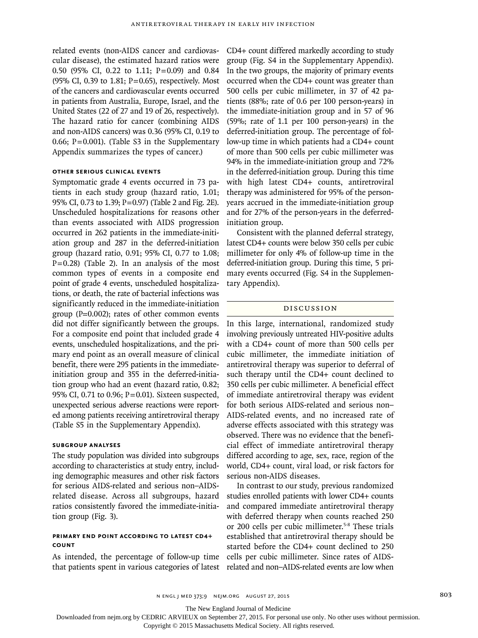related events (non-AIDS cancer and cardiovascular disease), the estimated hazard ratios were 0.50 (95% CI, 0.22 to 1.11; P=0.09) and 0.84 (95% CI, 0.39 to 1.81;  $P=0.65$ ), respectively. Most of the cancers and cardiovascular events occurred in patients from Australia, Europe, Israel, and the United States (22 of 27 and 19 of 26, respectively). The hazard ratio for cancer (combining AIDS and non-AIDS cancers) was 0.36 (95% CI, 0.19 to 0.66; P=0.001). (Table S3 in the Supplementary Appendix summarizes the types of cancer.)

#### **Other Serious Clinical Events**

Symptomatic grade 4 events occurred in 73 patients in each study group (hazard ratio, 1.01; 95% CI, 0.73 to 1.39; P=0.97) (Table 2 and Fig. 2E). Unscheduled hospitalizations for reasons other than events associated with AIDS progression occurred in 262 patients in the immediate-initiation group and 287 in the deferred-initiation group (hazard ratio, 0.91; 95% CI, 0.77 to 1.08;  $P=0.28$ ) (Table 2). In an analysis of the most common types of events in a composite end point of grade 4 events, unscheduled hospitalizations, or death, the rate of bacterial infections was significantly reduced in the immediate-initiation group (P=0.002); rates of other common events did not differ significantly between the groups. For a composite end point that included grade 4 events, unscheduled hospitalizations, and the primary end point as an overall measure of clinical benefit, there were 295 patients in the immediateinitiation group and 355 in the deferred-initiation group who had an event (hazard ratio, 0.82; 95% CI, 0.71 to 0.96; P=0.01). Sixteen suspected, unexpected serious adverse reactions were reported among patients receiving antiretroviral therapy (Table S5 in the Supplementary Appendix).

#### **Subgroup Analyses**

The study population was divided into subgroups according to characteristics at study entry, including demographic measures and other risk factors for serious AIDS-related and serious non–AIDSrelated disease. Across all subgroups, hazard ratios consistently favored the immediate-initiation group (Fig. 3).

#### **Primary End Point According to Latest CD4+ Count**

As intended, the percentage of follow-up time that patients spent in various categories of latest CD4+ count differed markedly according to study group (Fig. S4 in the Supplementary Appendix). In the two groups, the majority of primary events occurred when the CD4+ count was greater than 500 cells per cubic millimeter, in 37 of 42 patients (88%; rate of 0.6 per 100 person-years) in the immediate-initiation group and in 57 of 96 (59%; rate of 1.1 per 100 person-years) in the deferred-initiation group. The percentage of follow-up time in which patients had a CD4+ count of more than 500 cells per cubic millimeter was 94% in the immediate-initiation group and 72% in the deferred-initiation group. During this time with high latest CD4+ counts, antiretroviral therapy was administered for 95% of the personyears accrued in the immediate-initiation group and for 27% of the person-years in the deferredinitiation group.

Consistent with the planned deferral strategy, latest CD4+ counts were below 350 cells per cubic millimeter for only 4% of follow-up time in the deferred-initiation group. During this time, 5 primary events occurred (Fig. S4 in the Supplementary Appendix).

#### Discussion

In this large, international, randomized study involving previously untreated HIV-positive adults with a CD4+ count of more than 500 cells per cubic millimeter, the immediate initiation of antiretroviral therapy was superior to deferral of such therapy until the CD4+ count declined to 350 cells per cubic millimeter. A beneficial effect of immediate antiretroviral therapy was evident for both serious AIDS-related and serious non– AIDS-related events, and no increased rate of adverse effects associated with this strategy was observed. There was no evidence that the beneficial effect of immediate antiretroviral therapy differed according to age, sex, race, region of the world, CD4+ count, viral load, or risk factors for serious non-AIDS diseases.

In contrast to our study, previous randomized studies enrolled patients with lower CD4+ counts and compared immediate antiretroviral therapy with deferred therapy when counts reached 250 or 200 cells per cubic millimeter.<sup>5-8</sup> These trials established that antiretroviral therapy should be started before the CD4+ count declined to 250 cells per cubic millimeter. Since rates of AIDSrelated and non–AIDS-related events are low when

n engl j med 373;9 nejm.org August 27, 2015 803

The New England Journal of Medicine

Downloaded from nejm.org by CEDRIC ARVIEUX on September 27, 2015. For personal use only. No other uses without permission.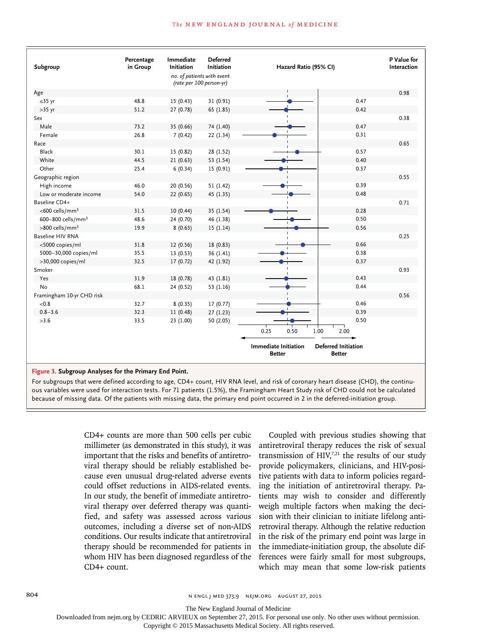#### **The NEW ENGLAND JOURNAL of MEDICINE**

| Subgroup                                               | Percentage<br>in Group | Immediate<br>Initiation                                | <b>Deferred</b><br>Initiation |                                              | Hazard Ratio (95% CI) |      |                                             | P Value for<br>Interaction |
|--------------------------------------------------------|------------------------|--------------------------------------------------------|-------------------------------|----------------------------------------------|-----------------------|------|---------------------------------------------|----------------------------|
|                                                        |                        | no. of patients with event<br>(rate per 100 person-yr) |                               |                                              |                       |      |                                             |                            |
| Age                                                    |                        |                                                        |                               |                                              |                       |      |                                             | 0.98                       |
| $\leq$ 35 yr                                           | 48.8                   | 15(0.43)                                               | 31 (0.91)                     |                                              |                       |      | 0.47                                        |                            |
| $>35$ yr                                               | 51.2                   | 27 (0.78)                                              | 65 (1.85)                     |                                              |                       |      | 0.42                                        |                            |
| Sex                                                    |                        |                                                        |                               |                                              |                       |      |                                             | 0.38                       |
| Male                                                   | 73.2                   | 35 (0.66)                                              | 74 (1.40)                     |                                              |                       |      | 0.47                                        |                            |
| Female                                                 | 26.8                   | 7(0.42)                                                | 22 (1.34)                     |                                              |                       |      | 0.31                                        |                            |
| Race                                                   |                        |                                                        |                               |                                              |                       |      |                                             | 0.65                       |
| Black                                                  | 30.1                   | 15 (0.82)                                              | 28 (1.52)                     |                                              |                       |      | 0.57                                        |                            |
| White                                                  | 44.5                   | 21(0.63)                                               | 53 (1.54)                     |                                              |                       |      | 0.40                                        |                            |
| Other                                                  | 25.4                   | 6(0.34)                                                | 15 (0.91)                     |                                              |                       |      | 0.37                                        |                            |
| Geographic region                                      |                        |                                                        |                               |                                              |                       |      |                                             | 0.55                       |
| High income                                            | 46.0                   | 20 (0.56)                                              | 51 (1.42)                     |                                              |                       |      | 0.39                                        |                            |
| Low or moderate income                                 | 54.0                   | 22 (0.65)                                              | 45 (1.35)                     |                                              |                       |      | 0.48                                        |                            |
| Baseline CD4+                                          |                        |                                                        |                               |                                              |                       |      |                                             | 0.71                       |
| <600 cells/mm <sup>3</sup>                             | 31.5                   | 10(0.44)                                               | 35 (1.54)                     |                                              |                       |      | 0.28                                        |                            |
| 600-800 cells/mm <sup>3</sup>                          | 48.6                   | 24 (0.70)                                              | 46 (1.38)                     |                                              |                       |      | 0.50                                        |                            |
| >800 cells/mm <sup>3</sup>                             | 19.9                   | 8(0.63)                                                | 15(1.14)                      |                                              |                       |      | 0.56                                        |                            |
| <b>Baseline HIV RNA</b>                                |                        |                                                        |                               |                                              |                       |      |                                             | 0.25                       |
| <5000 copies/ml                                        | 31.8                   | 12(0.56)                                               | 18 (0.83)                     |                                              |                       |      | 0.66                                        |                            |
| 5000-30,000 copies/ml                                  | 35.5                   | 13(0.53)                                               | 36 (1.41)                     |                                              |                       |      | 0.38                                        |                            |
| >30,000 copies/ml                                      | 32.5                   | 17(0.72)                                               | 42 (1.92)                     |                                              |                       |      | 0.37                                        |                            |
| Smoker                                                 |                        |                                                        |                               |                                              |                       |      |                                             | 0.93                       |
| Yes                                                    | 31.9                   | 18 (0.78)                                              | 43 (1.81)                     |                                              |                       |      | 0.43                                        |                            |
| <b>No</b>                                              | 68.1                   | 24 (0.52)                                              | 53 (1.16)                     |                                              |                       |      | 0.44                                        |                            |
| Framingham 10-yr CHD risk                              |                        |                                                        |                               |                                              |                       |      |                                             | 0.56                       |
| < 0.8                                                  | 32.7                   | 8(0.35)                                                | 17(0.77)                      |                                              |                       |      | 0.46                                        |                            |
| $0.8 - 3.6$                                            | 32.3                   | 11(0.48)                                               | 27(1.23)                      |                                              |                       |      | 0.39                                        |                            |
| >3.6                                                   | 33.5                   | 23 (1.00)                                              | 50 (2.05)                     |                                              |                       |      | 0.50                                        |                            |
|                                                        |                        |                                                        |                               | 0.25                                         | 0.50                  | 1.00 | 2.00                                        |                            |
|                                                        |                        |                                                        |                               | <b>Immediate Initiation</b><br><b>Better</b> |                       |      | <b>Deferred Initiation</b><br><b>Better</b> |                            |
| Figure 3. Subgroup Analyses for the Primary End Point. |                        |                                                        |                               |                                              |                       |      |                                             |                            |

For subgroups that were defined according to age, CD4+ count, HIV RNA level, and risk of coronary heart disease (CHD), the continuous variables were used for interaction tests. For 71 patients (1.5%), the Framingham Heart Study risk of CHD could not be calculated because of missing data. Of the patients with missing data, the primary end point occurred in 2 in the deferred-initiation group.

> CD4+ counts are more than 500 cells per cubic millimeter (as demonstrated in this study), it was important that the risks and benefits of antiretroviral therapy should be reliably established because even unusual drug-related adverse events could offset reductions in AIDS-related events. In our study, the benefit of immediate antiretroviral therapy over deferred therapy was quantified, and safety was assessed across various outcomes, including a diverse set of non-AIDS conditions. Our results indicate that antiretroviral therapy should be recommended for patients in whom HIV has been diagnosed regardless of the CD4+ count.

Coupled with previous studies showing that antiretroviral therapy reduces the risk of sexual transmission of  $HIV<sub>1</sub><sup>7,21</sup>$  the results of our study provide policymakers, clinicians, and HIV-positive patients with data to inform policies regarding the initiation of antiretroviral therapy. Patients may wish to consider and differently weigh multiple factors when making the decision with their clinician to initiate lifelong antiretroviral therapy. Although the relative reduction in the risk of the primary end point was large in the immediate-initiation group, the absolute differences were fairly small for most subgroups, which may mean that some low-risk patients

804 **804** N ENGL J MED 373;9 NEJM.ORG AUGUST 27, 2015

The New England Journal of Medicine

Downloaded from nejm.org by CEDRIC ARVIEUX on September 27, 2015. For personal use only. No other uses without permission.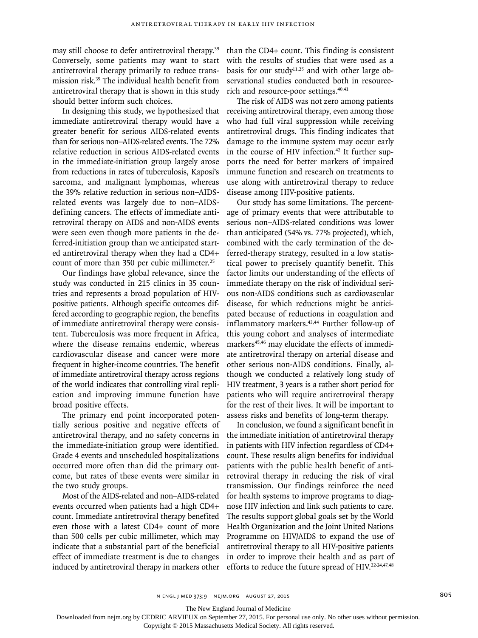may still choose to defer antiretroviral therapy.<sup>39</sup> Conversely, some patients may want to start antiretroviral therapy primarily to reduce transmission risk.39 The individual health benefit from antiretroviral therapy that is shown in this study should better inform such choices.

In designing this study, we hypothesized that immediate antiretroviral therapy would have a greater benefit for serious AIDS-related events than for serious non–AIDS-related events. The 72% relative reduction in serious AIDS-related events in the immediate-initiation group largely arose from reductions in rates of tuberculosis, Kaposi's sarcoma, and malignant lymphomas, whereas the 39% relative reduction in serious non–AIDSrelated events was largely due to non–AIDSdefining cancers. The effects of immediate antiretroviral therapy on AIDS and non-AIDS events were seen even though more patients in the deferred-initiation group than we anticipated started antiretroviral therapy when they had a CD4+ count of more than 350 per cubic millimeter.<sup>25</sup>

Our findings have global relevance, since the study was conducted in 215 clinics in 35 countries and represents a broad population of HIVpositive patients. Although specific outcomes differed according to geographic region, the benefits of immediate antiretroviral therapy were consistent. Tuberculosis was more frequent in Africa, where the disease remains endemic, whereas cardiovascular disease and cancer were more frequent in higher-income countries. The benefit of immediate antiretroviral therapy across regions of the world indicates that controlling viral replication and improving immune function have broad positive effects.

The primary end point incorporated potentially serious positive and negative effects of antiretroviral therapy, and no safety concerns in the immediate-initiation group were identified. Grade 4 events and unscheduled hospitalizations occurred more often than did the primary outcome, but rates of these events were similar in the two study groups.

Most of the AIDS-related and non–AIDS-related events occurred when patients had a high CD4+ count. Immediate antiretroviral therapy benefited even those with a latest CD4+ count of more than 500 cells per cubic millimeter, which may indicate that a substantial part of the beneficial effect of immediate treatment is due to changes induced by antiretroviral therapy in markers other

than the CD4+ count. This finding is consistent with the results of studies that were used as a basis for our study<sup>11,25</sup> and with other large observational studies conducted both in resourcerich and resource-poor settings.<sup>40,41</sup>

The risk of AIDS was not zero among patients receiving antiretroviral therapy, even among those who had full viral suppression while receiving antiretroviral drugs. This finding indicates that damage to the immune system may occur early in the course of HIV infection.<sup>42</sup> It further supports the need for better markers of impaired immune function and research on treatments to use along with antiretroviral therapy to reduce disease among HIV-positive patients.

Our study has some limitations. The percentage of primary events that were attributable to serious non–AIDS-related conditions was lower than anticipated (54% vs. 77% projected), which, combined with the early termination of the deferred-therapy strategy, resulted in a low statistical power to precisely quantify benefit. This factor limits our understanding of the effects of immediate therapy on the risk of individual serious non-AIDS conditions such as cardiovascular disease, for which reductions might be anticipated because of reductions in coagulation and inflammatory markers.<sup>43,44</sup> Further follow-up of this young cohort and analyses of intermediate markers<sup>45,46</sup> may elucidate the effects of immediate antiretroviral therapy on arterial disease and other serious non-AIDS conditions. Finally, although we conducted a relatively long study of HIV treatment, 3 years is a rather short period for patients who will require antiretroviral therapy for the rest of their lives. It will be important to assess risks and benefits of long-term therapy.

In conclusion, we found a significant benefit in the immediate initiation of antiretroviral therapy in patients with HIV infection regardless of CD4+ count. These results align benefits for individual patients with the public health benefit of antiretroviral therapy in reducing the risk of viral transmission. Our findings reinforce the need for health systems to improve programs to diagnose HIV infection and link such patients to care. The results support global goals set by the World Health Organization and the Joint United Nations Programme on HIV/AIDS to expand the use of antiretroviral therapy to all HIV-positive patients in order to improve their health and as part of efforts to reduce the future spread of HIV.<sup>22-24,47,48</sup>

The New England Journal of Medicine

Downloaded from nejm.org by CEDRIC ARVIEUX on September 27, 2015. For personal use only. No other uses without permission.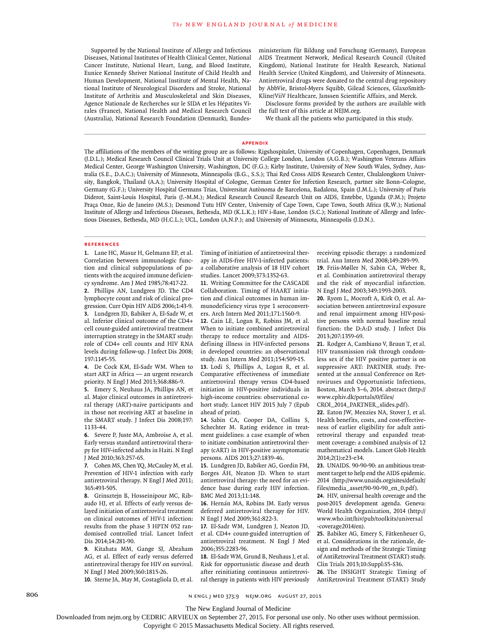Supported by the National Institute of Allergy and Infectious Diseases, National Institutes of Health Clinical Center, National Cancer Institute, National Heart, Lung, and Blood Institute, Eunice Kennedy Shriver National Institute of Child Health and Human Development, National Institute of Mental Health, National Institute of Neurological Disorders and Stroke, National Institute of Arthritis and Musculoskeletal and Skin Diseases, Agence Nationale de Recherches sur le SIDA et les Hépatites Virales (France), National Health and Medical Research Council (Australia), National Research Foundation (Denmark), Bundesministerium für Bildung und Forschung (Germany), European AIDS Treatment Network, Medical Research Council (United Kingdom), National Institute for Health Research, National Health Service (United Kingdom), and University of Minnesota. Antiretroviral drugs were donated to the central drug repository by AbbVie, Bristol-Myers Squibb, Gilead Sciences, GlaxoSmith-Kline/ViiV Healthcare, Janssen Scientific Affairs, and Merck.

Disclosure forms provided by the authors are available with the full text of this article at NEJM.org.

We thank all the patients who participated in this study.

#### **Appendix**

The affiliations of the members of the writing group are as follows: Rigshospitalet, University of Copenhagen, Copenhagen, Denmark (J.D.L.); Medical Research Council Clinical Trials Unit at University College London, London (A.G.B.); Washington Veterans Affairs Medical Center, George Washington University, Washington, DC (F.G.); Kirby Institute, University of New South Wales, Sydney, Australia (S.E., D.A.C.); University of Minnesota, Minneapolis (B.G., S.S.); Thai Red Cross AIDS Research Center, Chulalongkorn University, Bangkok, Thailand (A.A.); University Hospital of Cologne, German Center for Infection Research, partner site Bonn–Cologne, Germany (G.F.); University Hospital Germans Trias, Universitat Autònoma de Barcelona, Badalona, Spain (J.M.L.); University of Paris Diderot, Saint-Louis Hospital, Paris (J.-M.M.); Medical Research Council Research Unit on AIDS, Entebbe, Uganda (P.M.); Projeto Praça Onze, Rio de Janeiro (M.S.); Desmond Tutu HIV Center, University of Cape Town, Cape Town, South Africa (R.W.); National Institute of Allergy and Infectious Diseases, Bethesda, MD (K.L.K.); HIV i-Base, London (S.C.); National Institute of Allergy and Infectious Diseases, Bethesda, MD (H.C.L.); UCL, London (A.N.P.); and University of Minnesota, Minneapolis (J.D.N.).

#### **References**

**1.** Lane HC, Masur H, Gelmann EP, et al. Correlation between immunologic function and clinical subpopulations of patients with the acquired immune deficiency syndrome. Am J Med 1985;78:417-22.

**2.** Phillips AN, Lundgren JD. The CD4 lymphocyte count and risk of clinical progression. Curr Opin HIV AIDS 2006;1:43-9. **3.** Lundgren JD, Babiker A, El-Sadr W, et al. Inferior clinical outcome of the CD4+ cell count-guided antiretroviral treatment interruption strategy in the SMART study: role of CD4+ cell counts and HIV RNA

197:1145-55. **4.** De Cock KM, El-Sadr WM. When to start ART in Africa — an urgent research priority. N Engl J Med 2013;368:886-9.

levels during follow-up. J Infect Dis 2008;

**5.** Emery S, Neuhaus JA, Phillips AN, et al. Major clinical outcomes in antiretroviral therapy (ART)-naive participants and in those not receiving ART at baseline in the SMART study. J Infect Dis 2008;197: 1133-44.

**6.** Severe P, Juste MA, Ambroise A, et al. Early versus standard antiretroviral therapy for HIV-infected adults in Haiti. N Engl J Med 2010;363:257-65.

**7.** Cohen MS, Chen YQ, McCauley M, et al. Prevention of HIV-1 infection with early antiretroviral therapy. N Engl J Med 2011; 365:493-505.

**8.** Grinsztejn B, Hosseinipour MC, Ribaudo HJ, et al. Effects of early versus delayed initiation of antiretroviral treatment on clinical outcomes of HIV-1 infection: results from the phase 3 HPTN 052 randomised controlled trial. Lancet Infect Dis 2014;14:281-90.

**9.** Kitahata MM, Gange SJ, Abraham AG, et al. Effect of early versus deferred antiretroviral therapy for HIV on survival. N Engl J Med 2009;360:1815-26.

**10.** Sterne JA, May M, Costagliola D, et al.

Timing of initiation of antiretroviral therapy in AIDS-free HIV-1-infected patients: a collaborative analysis of 18 HIV cohort studies. Lancet 2009;373:1352-63.

**11.** Writing Committee for the CASCADE Collaboration. Timing of HAART initiation and clinical outcomes in human immunodeficiency virus type 1 seroconverters. Arch Intern Med 2011;171:1560-9.

**12.** Cain LE, Logan R, Robins JM, et al. When to initiate combined antiretroviral therapy to reduce mortality and AIDSdefining illness in HIV-infected persons in developed countries: an observational study. Ann Intern Med 2011;154:509-15. **13.** Lodi S, Phillips A, Logan R, et al. Comparative effectiveness of immediate antiretroviral therapy versus CD4-based initiation in HIV-positive individuals in high-income countries: observational cohort study. Lancet HIV 2015 July 7 (Epub ahead of print).

**14.** Sabin CA, Cooper DA, Collins S, Schechter M. Rating evidence in treatment guidelines: a case example of when to initiate combination antiretroviral therapy (cART) in HIV-positive asymptomatic persons. AIDS 2013;27:1839-46.

**15.** Lundgren JD, Babiker AG, Gordin FM, Borges ÁH, Neaton JD. When to start antiretroviral therapy: the need for an evidence base during early HIV infection. BMC Med 2013;11:148.

**16.** Hernán MA, Robins JM. Early versus deferred antiretroviral therapy for HIV. N Engl J Med 2009;361:822-3.

**17.** El-Sadr WM, Lundgren J, Neaton JD, et al. CD4+ count-guided interruption of antiretroviral treatment. N Engl J Med 2006;355:2283-96.

**18.** El-Sadr WM, Grund B, Neuhaus J, et al. Risk for opportunistic disease and death after reinitiating continuous antiretroviral therapy in patients with HIV previously receiving episodic therapy: a randomized trial. Ann Intern Med 2008;149:289-99.

**19.** Friis-Møller N, Sabin CA, Weber R, et al. Combination antiretroviral therapy and the risk of myocardial infarction. N Engl J Med 2003;349:1993-2003.

**20.** Ryom L, Mocroft A, Kirk O, et al. Association between antiretroviral exposure and renal impairment among HIV-positive persons with normal baseline renal function: the D:A:D study. J Infect Dis 2013;207:1359-69.

**21.** Rodger A, Cambiano V, Bruun T, et al. HIV transmission risk through condomless sex if the HIV positive partner is on suppressive ART: PARTNER study. Presented at the annual Conference on Retroviruses and Opportunistic Infections, Boston, March 3–6, 2014. abstract (http:// www.cphiv.dk/portals/0/files/

CROI\_2014\_PARTNER\_slides.pdf).

**22.** Eaton JW, Menzies NA, Stover J, et al. Health benefits, costs, and cost-effectiveness of earlier eligibility for adult antiretroviral therapy and expanded treatment coverage: a combined analysis of 12 mathematical models. Lancet Glob Health 2014;2(1):e23-e34.

**23.** UNAIDS. 90-90-90: an ambitious treatment target to help end the AIDS epidemic. 2014 (http://www.unaids.org/sites/default/ files/media\_asset/90-90-90\_en\_0.pdf).

**24.** HIV, universal health coverage and the post-2015 development agenda. Geneva: World Health Organization, 2014 (http:// www.who.int/hiv/pub/toolkits/universal -coverage2014/en).

**25.** Babiker AG, Emery S, Fätkenheuer G, et al. Considerations in the rationale, design and methods of the Strategic Timing of AntiRetroviral Treatment (START) study. Clin Trials 2013;10:Suppl:S5-S36.

**26.** The INSIGHT Strategic Timing of AntiRetroviral Treatment (START) Study

The New England Journal of Medicine